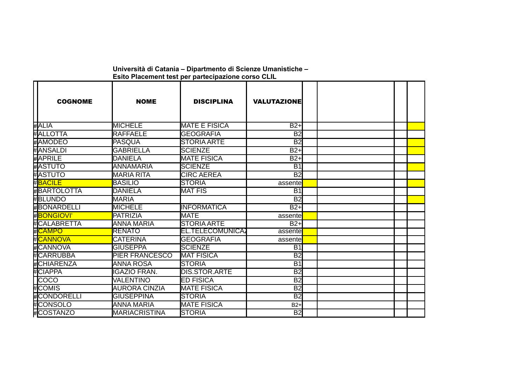| <b>COGNOME</b>           | <b>NOME</b>           | <b>DISCIPLINA</b>       | <b>VALUTAZIONE</b> |  |  |
|--------------------------|-----------------------|-------------------------|--------------------|--|--|
| #ALIA                    | <b>MICHELE</b>        | <b>MATE E FISICA</b>    | $B2+$              |  |  |
| # <b>I</b> ALLOTTA       | <b>RAFFAELE</b>       | <b>GEOGRAFIA</b>        | <b>B2</b>          |  |  |
| #AMODEO                  | PASQUA                | <b>STORIA ARTE</b>      | B <sub>2</sub>     |  |  |
| #IANSALDI                | IGABRIELLA            | <b>ISCIENZE</b>         | $B2+$              |  |  |
| #APRILE                  | <b>IDANIELA</b>       | <b>MATE FISICA</b>      | $B2+$              |  |  |
| #ASTUTO                  | <b>ANNAMARIA</b>      | <b>SCIENZE</b>          | $\overline{B1}$    |  |  |
| #ASTUTO                  | <b>I</b> MARIA RITA   | <b>CIRC AEREA</b>       | $\overline{B2}$    |  |  |
| #BACILE                  | <b>BASILIO</b>        | <b>STORIA</b>           | assente            |  |  |
| #BARTOLOTTA              | <b>IDANIELA</b>       | <b>MAT FIS</b>          | <b>B1</b>          |  |  |
| <b>#BLUNDO</b>           | <b>MARIA</b>          |                         | B <sub>2</sub>     |  |  |
| #BONARDELLI              | <b>MICHELE</b>        | IINFORMATICA            | $B2+$              |  |  |
| ⊯ <mark>BONGIOVI'</mark> | <b>PATRIZIA</b>       | <b>MATE</b>             | assente            |  |  |
| # <b>I</b> CALABRETTA    | <b>ANNA MARIA</b>     | <b>STORIA ARTE</b>      | $B2+$              |  |  |
|                          | <b>RENATO</b>         | <b>EL.TELECOMUNICA2</b> | assente            |  |  |
| ⊭ <mark>ICANNOVA</mark>  | <b>CATERINA</b>       | <b>GEOGRAFIA</b>        | assente            |  |  |
| # <b>I</b> CANNOVA       | <b>GIUSEPPA</b>       | <b>SCIENZE</b>          | <b>B1</b>          |  |  |
| # <b>I</b> CARRUBBA      | <b>PIER FRANCESCO</b> | <b>MAT FISICA</b>       | $\overline{B2}$    |  |  |
| #CHIARENZA               | <b>ANNA ROSA</b>      | <b>STORIA</b>           | <b>B1</b>          |  |  |
| <b>CIAPPA</b>            | <b>IGAZIO FRAN.</b>   | <b>DIS.STOR.ARTE</b>    | $\overline{B2}$    |  |  |
| ICOCO                    | VALENTINO             | <b>ED FISICA</b>        | <b>B2</b>          |  |  |
| #ICOMIS                  | <b>AURORA CINZIA</b>  | <b>MATE FISICA</b>      | $\overline{B2}$    |  |  |
| #CONDORELLI              | <b>GIUSEPPINA</b>     | <b>STORIA</b>           | $\overline{B2}$    |  |  |
| <b>CONSOLO</b>           | ANNA MARIA            | <b>MATE FISICA</b>      | $B2+$              |  |  |
| #COSTANZO                | <b>MARIACRISTINA</b>  | <b>STORIA</b>           | B2                 |  |  |

**Università di Catania – Dipartmento di Scienze Umanistiche – Esito Placement test per partecipazione corso CLIL**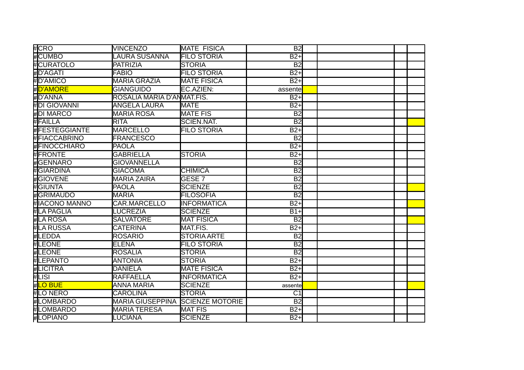| #ICRO                 | <b>VINCENZO</b>            | <b>MATE FISICA</b>     | <b>B2</b>        |  |
|-----------------------|----------------------------|------------------------|------------------|--|
| <b>CUMBO</b>          | <b>AURA SUSANNA</b>        | <b>FILO STORIA</b>     | $B2+$            |  |
| <b>CURATOLO</b>       | <b>PATRIZIA</b>            | ISTORIA                | B <sub>2</sub>   |  |
| #D'AGATI              | <b>FABIO</b>               | <b>FILO STORIA</b>     | $B2+$            |  |
| #ID'AMICO             | <b>MARIA GRAZIA</b>        | <b>MATE FISICA</b>     | $B2+$            |  |
| #D'AMORE              | <b>GIANGUIDO</b>           | EC.AZIEN:              | assente          |  |
| #D'ANNA               | ROSALIA MARIA D'ANMAT.FIS. |                        | $B2+$            |  |
| #DI GIOVANNI          | <b>ANGELA LAURA</b>        | <b>MATE</b>            | $\overline{B2+}$ |  |
| #DI MARCO             | <b>MARIA ROSA</b>          | <b>MATE FIS</b>        | B <sub>2</sub>   |  |
| #FAILLA               | RITA                       | <b>SCIEN.NAT.</b>      | <b>B2</b>        |  |
| #FESTEGGIANTE         | <b>MARCELLO</b>            | <b>FILO STORIA</b>     | $B2+$            |  |
| # FIACCABRINO         | <b>FRANCESCO</b>           |                        | B <sub>2</sub>   |  |
| #FINOCCHIARO          | <b>PAOLA</b>               |                        | $\overline{B2+}$ |  |
| #FRONTE               | <b>GABRIELLA</b>           | <b>STORIA</b>          | $B2+$            |  |
| #GENNARO              | <b>GIOVANNELLA</b>         |                        | B <sub>2</sub>   |  |
| <b>GIARDINA</b>       | <b>GIACOMA</b>             | <b>CHIMICA</b>         | B <sub>2</sub>   |  |
| <b></b> IGIOVENE      | MARIA ZAIRA                | IGESE 7                | B <sub>2</sub>   |  |
| #IGIUNTA              | <b>PAOLA</b>               | <b>SCIENZE</b>         | B <sub>2</sub>   |  |
| # <b>I</b> GRIMAUDO   | <b>MARIA</b>               | <b>FILOSOFIA</b>       | $\overline{B2}$  |  |
| <b>HIACONO MANNO</b>  | <b>CAR.MARCELLO</b>        | <b>INFORMATICA</b>     | $B2+$            |  |
| # <b>I</b> LA PAGLIA  | <b>LUCREZIA</b>            | <b>SCIENZE</b>         | $B1+$            |  |
| #LA ROSA              | <b>SALVATORE</b>           | <b>MAT FISICA</b>      | B <sub>2</sub>   |  |
| # <b>I</b> LA RUSSA   | <b>CATERINA</b>            | MAT.FIS.               | $B2+$            |  |
| #ILEDDA               | IROSARIO                   | <b>STORIA ARTE</b>     | B <sub>2</sub>   |  |
| #ILEONE               | <b>ELENA</b>               | <b>FILO STORIA</b>     | B <sub>2</sub>   |  |
| <b>HLEONE</b>         | <b>ROSALIA</b>             | <b>STORIA</b>          | B <sub>2</sub>   |  |
| <b>#ILEPANTO</b>      | ANTONIA                    | <b>STORIA</b>          | $B2+$            |  |
| <b>#LICITRA</b>       | <b>DANIELA</b>             | <b>MATE FISICA</b>     | $B2+$            |  |
| #ILISI                | <b>RAFFAELLA</b>           | <b>INFORMATICA</b>     | $B2+$            |  |
| # <mark>LO BUE</mark> | ANNA MARIA                 | <b>SCIENZE</b>         | assente          |  |
| #ILO NERO             | <b>ICAROLINA</b>           | <b>ISTORIA</b>         | C1               |  |
| #LOMBARDO             | <b>MARIA GIUSEPPINA</b>    | <b>SCIENZE MOTORIE</b> | B <sub>2</sub>   |  |
| #LOMBARDO             | <b>MARIA TERESA</b>        | <b>MAT FIS</b>         | $B2+$            |  |
| <b>HLOPIANO</b>       | LUCIANA                    | <b>SCIENZE</b>         | $B2+$            |  |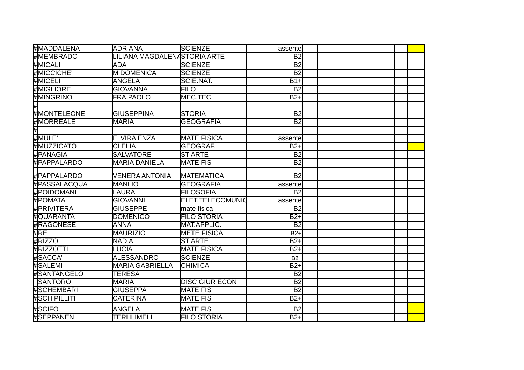| ⊭lMADDALENA           | <b>ADRIANA</b>               | <b>SCIENZE</b>        | assentel         |  |
|-----------------------|------------------------------|-----------------------|------------------|--|
| <b>MEMBRADO</b>       | LILIANA MAGDALENASTORIA ARTE |                       | B <sub>2</sub>   |  |
| #MICALI               | <b>ADA</b>                   | <b>SCIENZE</b>        | <b>B2</b>        |  |
| #MICCICHE'            | <b>IM DOMENICA</b>           | <b>SCIENZE</b>        | <b>B2</b>        |  |
| #MICELI               | <b>ANGELA</b>                | SCIE.NAT.             | $B1+$            |  |
| <b>MIGLIORE</b>       | <b>GIOVANNA</b>              | FILO                  | <b>B2</b>        |  |
| #MINGRINO             | FRA.PAOLO                    | MEC.TEC.              | $B2+$            |  |
|                       |                              |                       |                  |  |
| #MONTELEONE           | <b>GIUSEPPINA</b>            | <b>STORIA</b>         | $\overline{B2}$  |  |
| #MORREALE             | <b>MARIA</b>                 | <b>GEOGRAFIA</b>      | <b>B2</b>        |  |
|                       |                              |                       |                  |  |
| #MULE'                | <b>ELVIRA ENZA</b>           | <b>MATE FISICA</b>    | assente          |  |
| #MUZZICATO            | <b>CLELIA</b>                | <b>GEOGRAF.</b>       | $B2+$            |  |
| #IPANAGIA             | <b>SALVATORE</b>             | <b>ST ARTE</b>        | B <sub>2</sub>   |  |
| <b>HPAPPALARDO</b>    | <b>MARIA DANIELA</b>         | <b>MATE FIS</b>       | $\overline{B2}$  |  |
| #PAPPALARDO           | IVENERA ANTONIA              | <b>MATEMATICA</b>     | B <sub>2</sub>   |  |
| # <b>P</b> ASSALACQUA | <b>MANLIO</b>                | <b>GEOGRAFIA</b>      | assente          |  |
| #POIDOMANI            | LAURA                        | <b>FILOSOFIA</b>      | <b>B2</b>        |  |
| # POMATA              | <b>GIOVANNI</b>              | ELET.TELECOMUNIO      | assente          |  |
| <b>HPRIVITERA</b>     | <b>GIUSEPPE</b>              | mate fisica           | B <sub>2</sub>   |  |
| # <b>I</b> OUARANTA   | <b>DOMENICO</b>              | <b>FILO STORIA</b>    | $B2+$            |  |
| <b>#RAGONESE</b>      | ANNA                         | MAT.APPLIC.           | B <sub>2</sub>   |  |
| #RE                   | <b>MAURIZIO</b>              | <b>METE FISICA</b>    | $B2+$            |  |
| #RIZZO                | <b>NADIA</b>                 | <b>ST ARTE</b>        | $\overline{B2+}$ |  |
| #RIZZOTTI             | <b>LUCIA</b>                 | <b>MATE FISICA</b>    | $B2+$            |  |
| #SACCA'               | ALESSANDRO                   | <b>SCIENZE</b>        | $B2+$            |  |
| #İSALEMI              | <b>I</b> MARIA GABRIELLA     | ICHIMICA              | $B2+$            |  |
| #SANTANGELO           | <b>TERESA</b>                |                       | B <sub>2</sub>   |  |
| <b>SANTORO</b>        | <b>MARIA</b>                 | <b>DISC GIUR ECON</b> | $\overline{B2}$  |  |
| # <b>I</b> SCHEMBARI  | <b>GIUSEPPA</b>              | <b>MATE FIS</b>       | $\overline{B2}$  |  |
| #SCHIPILLITI          | <b>CATERINA</b>              | <b>MATE FIS</b>       | $B2+$            |  |
| #SCIFO                | <b>ANGELA</b>                | <b>MATE FIS</b>       | <b>B2</b>        |  |
| #ISEPPANEN            | <b>TERHI IMELI</b>           | <b>FILO STORIA</b>    | $B2+$            |  |